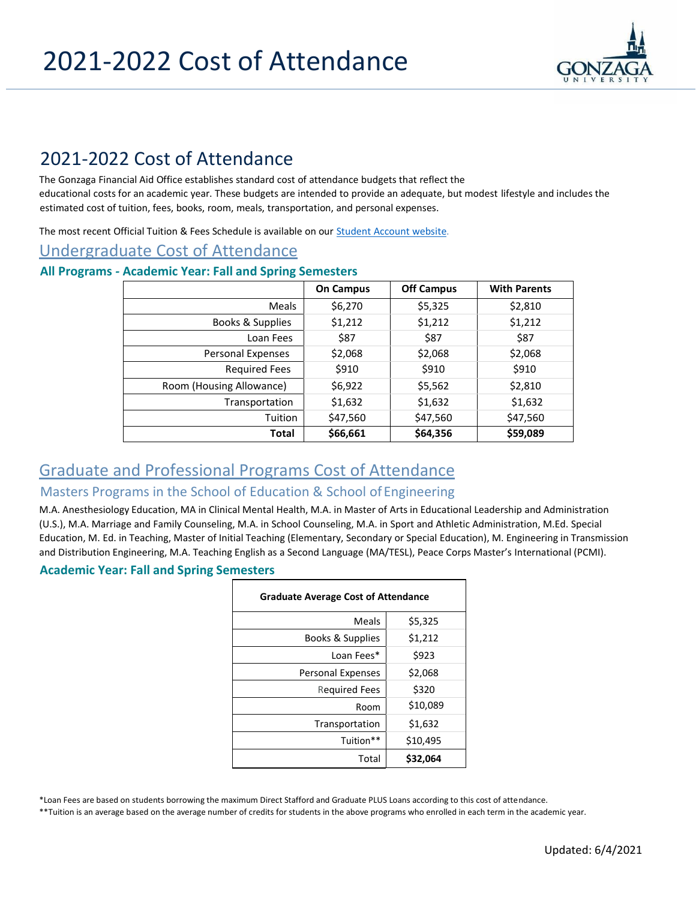

# 2021-2022 Cost of Attendance

The Gonzaga Financial Aid Office establishes standard cost of attendance budgets that reflect the educational costs for an academic year. These budgets are intended to provide an adequate, but modest lifestyle and includes the estimated cost of tuition, fees, books, room, meals, transportation, and personal expenses.

The most recent Official Tuition & Fees Schedule is available on our **Student Account website**.

# Undergraduate Cost of Attendance

#### **All Programs** *-* **Academic Year: Fall and Spring Semesters**

|                          | <b>On Campus</b> | <b>Off Campus</b> | <b>With Parents</b> |
|--------------------------|------------------|-------------------|---------------------|
| <b>Meals</b>             | \$6,270          | \$5,325           | \$2,810             |
| Books & Supplies         | \$1,212          | \$1,212           | \$1,212             |
| Loan Fees                | \$87             | \$87              | \$87                |
| Personal Expenses        | \$2,068          | \$2,068           | \$2,068             |
| <b>Required Fees</b>     | \$910            | \$910             | \$910               |
| Room (Housing Allowance) | \$6,922          | \$5,562           | \$2,810             |
| Transportation           | \$1,632          | \$1,632           | \$1,632             |
| Tuition                  | \$47,560         | \$47,560          | \$47,560            |
| <b>Total</b>             | \$66,661         | \$64,356          | \$59,089            |

# Graduate and Professional Programs Cost of Attendance

# Masters Programs in the School of Education & School of Engineering

M.A. Anesthesiology Education, MA in Clinical Mental Health, M.A. in Master of Arts in Educational Leadership and Administration (U.S.), M.A. Marriage and Family Counseling, M.A. in School Counseling, M.A. in Sport and Athletic Administration, M.Ed. Special Education, M. Ed. in Teaching, Master of Initial Teaching (Elementary, Secondary or Special Education), M. Engineering in Transmission and Distribution Engineering, M.A. Teaching English as a Second Language (MA/TESL), Peace Corps Master's International (PCMI).

#### **Academic Year: Fall and Spring Semesters**

| <b>Graduate Average Cost of Attendance</b> |          |  |  |
|--------------------------------------------|----------|--|--|
| Meals                                      | \$5,325  |  |  |
| Books & Supplies                           | \$1,212  |  |  |
| Loan Fees*                                 | \$923    |  |  |
| <b>Personal Expenses</b>                   | \$2,068  |  |  |
| Required Fees                              | \$320    |  |  |
| Room                                       | \$10,089 |  |  |
| Transportation                             | \$1,632  |  |  |
| Tuition**                                  | \$10,495 |  |  |
| Total                                      | \$32,064 |  |  |

\*Loan Fees are based on students borrowing the maximum Direct Stafford and Graduate PLUS Loans according to this cost of attendance.

\*\*Tuition is an average based on the average number of credits for students in the above programs who enrolled in each term in the academic year.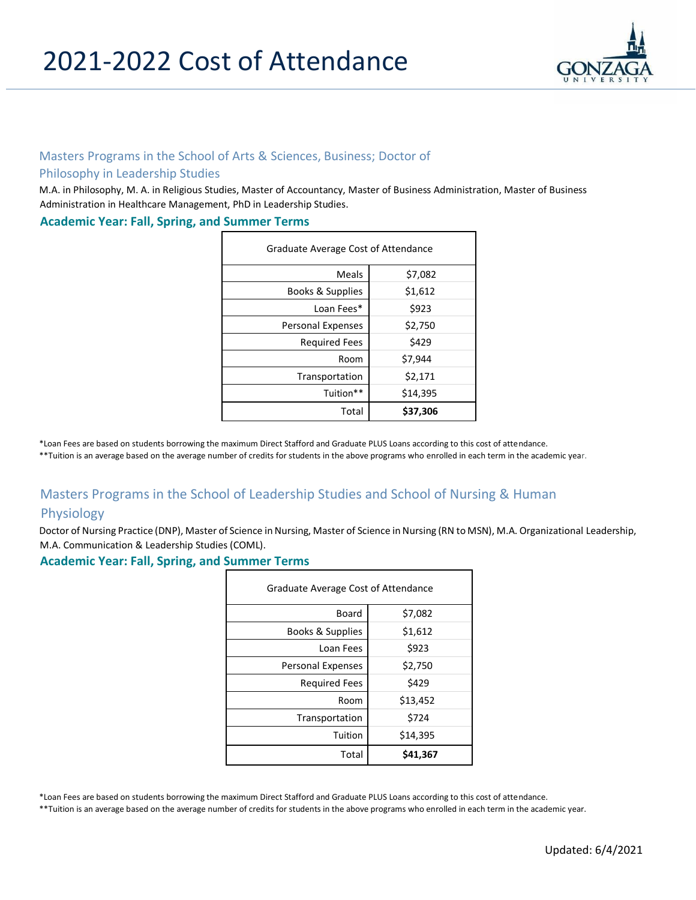

### Masters Programs in the School of Arts & Sciences, Business; Doctor of

#### Philosophy in Leadership Studies

M.A. in Philosophy, M. A. in Religious Studies, Master of Accountancy, Master of Business Administration, Master of Business Administration in Healthcare Management, PhD in Leadership Studies.

#### **Academic Year: Fall, Spring, and Summer Terms**

| Graduate Average Cost of Attendance |          |  |
|-------------------------------------|----------|--|
| <b>Meals</b>                        | \$7,082  |  |
| Books & Supplies                    | \$1,612  |  |
| Loan Fees*                          | \$923    |  |
| <b>Personal Expenses</b>            | \$2,750  |  |
| <b>Required Fees</b>                | \$429    |  |
| Room                                | \$7,944  |  |
| Transportation                      | \$2,171  |  |
| Tuition**                           | \$14,395 |  |
| Total                               | \$37,306 |  |

\*Loan Fees are based on students borrowing the maximum Direct Stafford and Graduate PLUS Loans according to this cost of attendance.

\*\*Tuition is an average based on the average number of credits for students in the above programs who enrolled in each term in the academic year.

# Masters Programs in the School of Leadership Studies and School of Nursing & Human

### Physiology

Doctor of Nursing Practice (DNP), Master of Science in Nursing, Master of Science in Nursing (RN to MSN), M.A. Organizational Leadership, M.A. Communication & Leadership Studies (COML).

**Academic Year: Fall, Spring, and Summer Terms**

| Graduate Average Cost of Attendance |          |  |
|-------------------------------------|----------|--|
| Board                               | \$7,082  |  |
| Books & Supplies                    | \$1,612  |  |
| Loan Fees                           | \$923    |  |
| <b>Personal Expenses</b>            | \$2,750  |  |
| <b>Required Fees</b>                | \$429    |  |
| Room                                | \$13,452 |  |
| Transportation                      | \$724    |  |
| Tuition                             | \$14,395 |  |
| Total                               | \$41,367 |  |

\*Loan Fees are based on students borrowing the maximum Direct Stafford and Graduate PLUS Loans according to this cost of attendance.

\*\*Tuition is an average based on the average number of credits for students in the above programs who enrolled in each term in the academic year.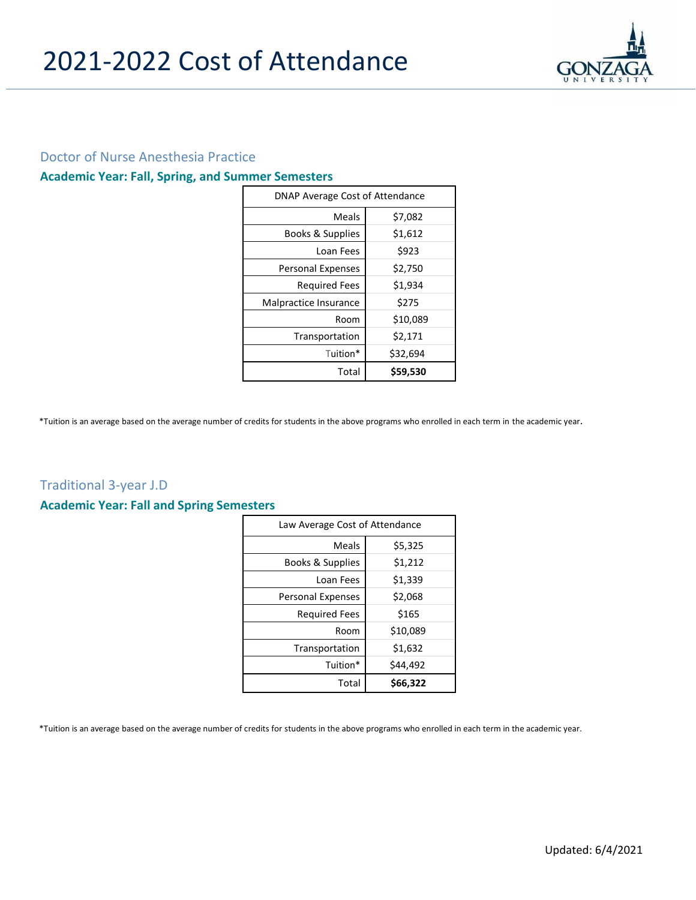

## Doctor of Nurse Anesthesia Practice

# **Academic Year: Fall, Spring, and Summer Semesters**

| DNAP Average Cost of Attendance |          |  |
|---------------------------------|----------|--|
| Meals                           | \$7,082  |  |
| Books & Supplies                | \$1,612  |  |
| Loan Fees                       | \$923    |  |
| <b>Personal Expenses</b>        | \$2,750  |  |
| <b>Required Fees</b>            | \$1,934  |  |
| Malpractice Insurance           | \$275    |  |
| Room                            | \$10,089 |  |
| Transportation                  | \$2,171  |  |
| Tuition*                        | \$32,694 |  |
| Total                           | \$59,530 |  |

\*Tuition is an average based on the average number of credits for students in the above programs who enrolled in each term in the academic year.

# Traditional 3-year J.D

#### **Academic Year: Fall and Spring Semesters**

| Law Average Cost of Attendance |          |  |
|--------------------------------|----------|--|
| Meals                          | \$5,325  |  |
| Books & Supplies               | \$1,212  |  |
| Loan Fees                      | \$1,339  |  |
| <b>Personal Expenses</b>       | \$2,068  |  |
| <b>Required Fees</b>           | \$165    |  |
| Room                           | \$10,089 |  |
| Transportation                 | \$1,632  |  |
| Tuition*                       | \$44,492 |  |
| Total                          | \$66,322 |  |

\*Tuition is an average based on the average number of credits for students in the above programs who enrolled in each term in the academic year.